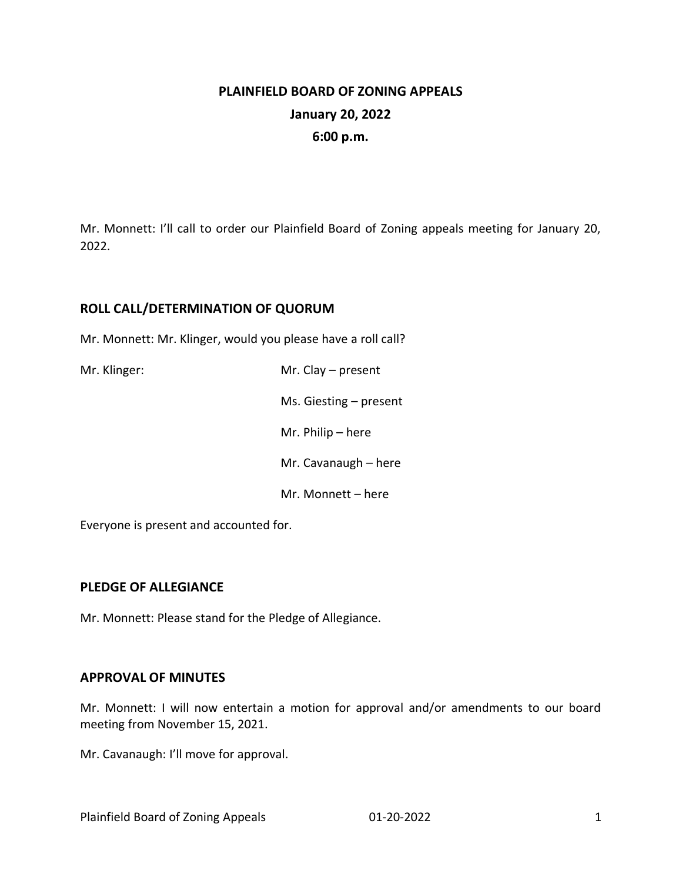# **PLAINFIELD BOARD OF ZONING APPEALS January 20, 2022 6:00 p.m.**

Mr. Monnett: I'll call to order our Plainfield Board of Zoning appeals meeting for January 20, 2022.

## **ROLL CALL/DETERMINATION OF QUORUM**

Mr. Monnett: Mr. Klinger, would you please have a roll call?

| Mr. Klinger: | Mr. Clay $-$ present     |
|--------------|--------------------------|
|              | Ms. Giesting $-$ present |
|              | Mr. Philip $-$ here      |
|              | Mr. Cavanaugh - here     |
|              | Mr. Monnett – here       |

Everyone is present and accounted for.

### **PLEDGE OF ALLEGIANCE**

Mr. Monnett: Please stand for the Pledge of Allegiance.

#### **APPROVAL OF MINUTES**

Mr. Monnett: I will now entertain a motion for approval and/or amendments to our board meeting from November 15, 2021.

Mr. Cavanaugh: I'll move for approval.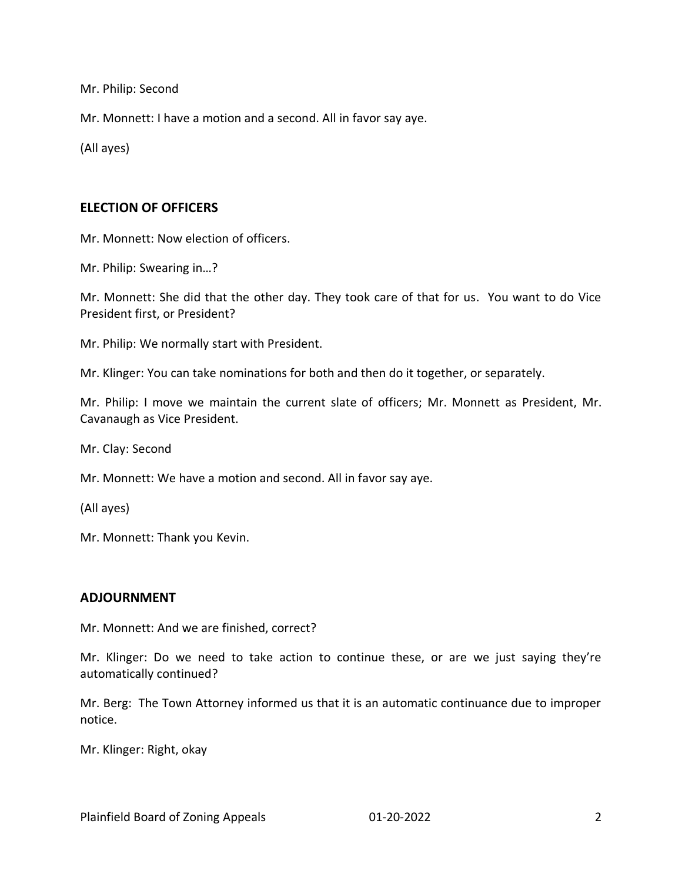Mr. Philip: Second

Mr. Monnett: I have a motion and a second. All in favor say aye.

(All ayes)

#### **ELECTION OF OFFICERS**

Mr. Monnett: Now election of officers.

Mr. Philip: Swearing in…?

Mr. Monnett: She did that the other day. They took care of that for us. You want to do Vice President first, or President?

Mr. Philip: We normally start with President.

Mr. Klinger: You can take nominations for both and then do it together, or separately.

Mr. Philip: I move we maintain the current slate of officers; Mr. Monnett as President, Mr. Cavanaugh as Vice President.

Mr. Clay: Second

Mr. Monnett: We have a motion and second. All in favor say aye.

(All ayes)

Mr. Monnett: Thank you Kevin.

#### **ADJOURNMENT**

Mr. Monnett: And we are finished, correct?

Mr. Klinger: Do we need to take action to continue these, or are we just saying they're automatically continued?

Mr. Berg: The Town Attorney informed us that it is an automatic continuance due to improper notice.

Mr. Klinger: Right, okay